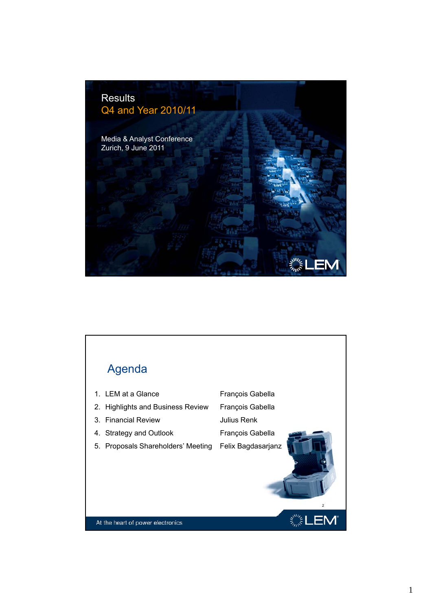

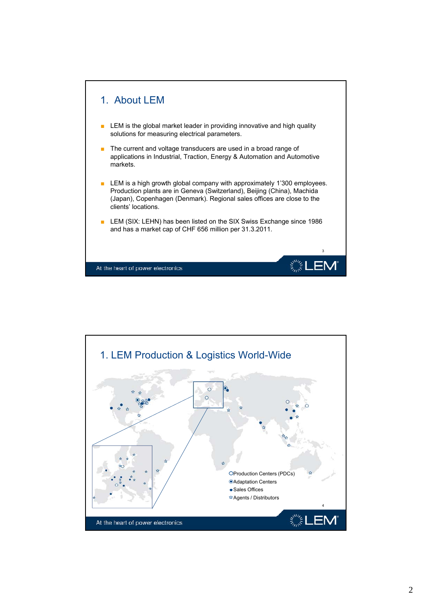

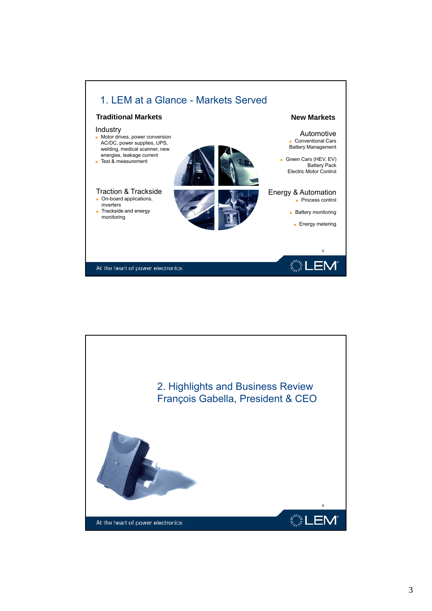

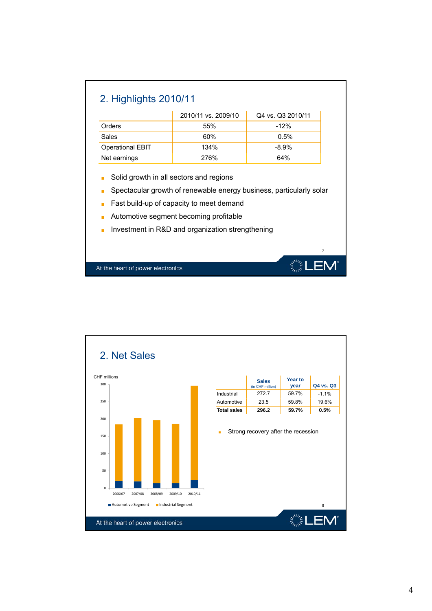|                                                                                                                                                                                                               | 2010/11 vs. 2009/10 | Q4 vs. Q3 2010/11 |  |  |  |
|---------------------------------------------------------------------------------------------------------------------------------------------------------------------------------------------------------------|---------------------|-------------------|--|--|--|
| Orders                                                                                                                                                                                                        | 55%                 | $-12%$            |  |  |  |
| Sales                                                                                                                                                                                                         | 60%                 | 0.5%              |  |  |  |
| <b>Operational EBIT</b>                                                                                                                                                                                       | 134%                | $-8.9%$           |  |  |  |
| Net earnings                                                                                                                                                                                                  | 276%                | 64%               |  |  |  |
| Spectacular growth of renewable energy business, particularly solar<br>Fast build-up of capacity to meet demand<br>Automotive segment becoming profitable<br>Investment in R&D and organization strengthening |                     |                   |  |  |  |
|                                                                                                                                                                                                               |                     |                   |  |  |  |
|                                                                                                                                                                                                               |                     | $\overline{7}$    |  |  |  |

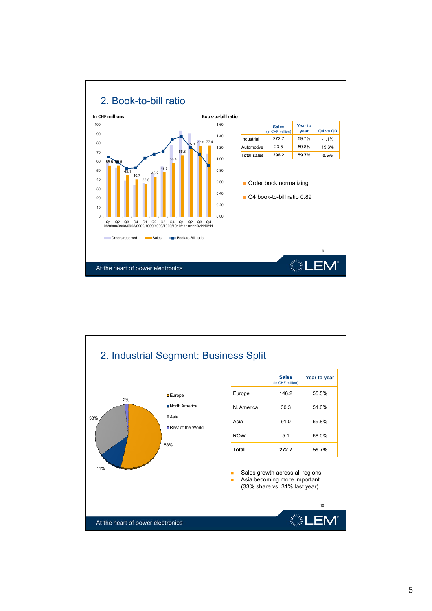

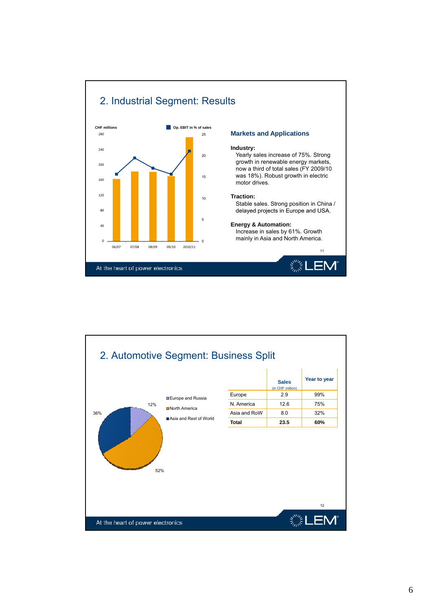



Yearly sales increase of 75%. Strong growth in renewable energy markets, now a third of total sales (FY 2009/10 was 18%). Robust growth in electric

Stable sales. Strong position in China / delayed projects in Europe and USA delayed projects in Europe and USA.

11

mainly in Asia and North America.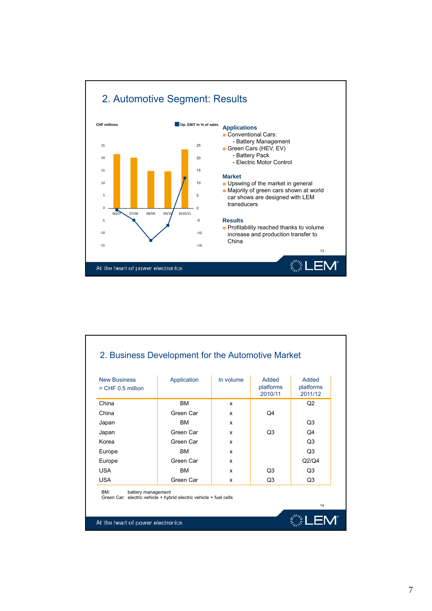

| <b>New Business</b><br>$>$ CHF 0.5 million                                                            | Application | In volume | Added<br>platforms<br>2010/11 | <b>Added</b><br>platforms<br>2011/12 |
|-------------------------------------------------------------------------------------------------------|-------------|-----------|-------------------------------|--------------------------------------|
| China                                                                                                 | <b>BM</b>   | x         |                               | O <sub>2</sub>                       |
| China                                                                                                 | Green Car   | x         | Q4                            |                                      |
| Japan                                                                                                 | <b>BM</b>   | x         |                               | O <sub>3</sub>                       |
| Japan                                                                                                 | Green Car   | x         | O <sub>3</sub>                | Q4                                   |
| Korea                                                                                                 | Green Car   | x         |                               | O <sub>3</sub>                       |
| Europe                                                                                                | <b>BM</b>   | x         |                               | O <sub>3</sub>                       |
| Europe                                                                                                | Green Car   | x         |                               | Q <sub>2</sub> /Q <sub>4</sub>       |
| <b>USA</b>                                                                                            | <b>BM</b>   | x         | O <sub>3</sub>                | Q3                                   |
| <b>USA</b>                                                                                            | Green Car   | x         | Q3                            | Q3                                   |
| BM:<br>battery management<br>Green Car: electric vehicle + hybrid electric vehicle + fuel cells<br>14 |             |           |                               |                                      |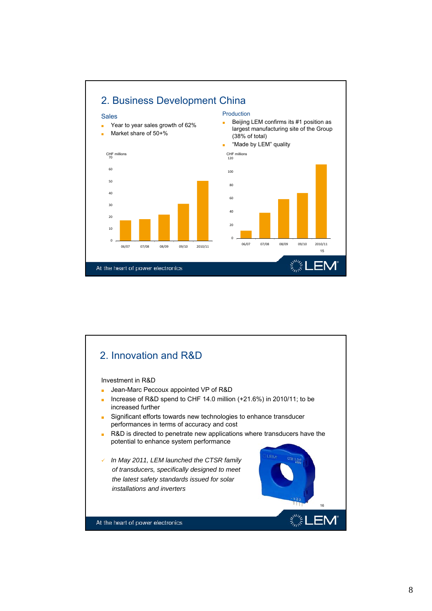

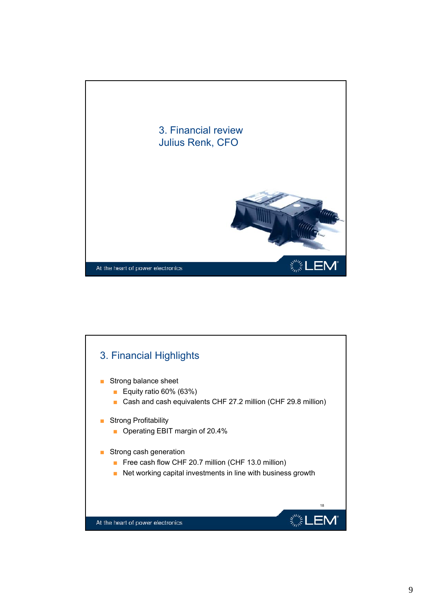

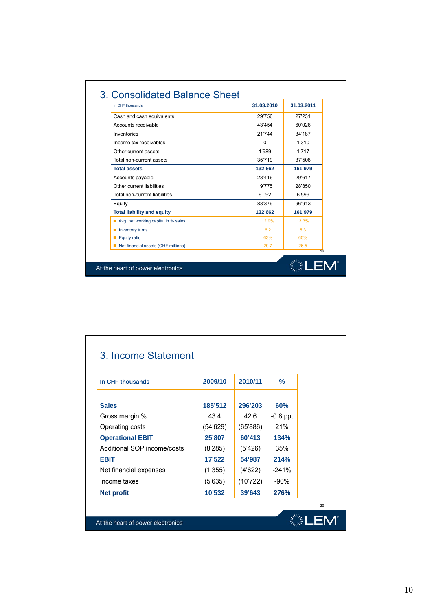| In CHF thousands                    | 31.03.2010 | 31.03.2011 |
|-------------------------------------|------------|------------|
| Cash and cash equivalents           | 29'756     | 27'231     |
| Accounts receivable                 | 43'454     | 60'026     |
| Inventories                         | 21'744     | 34'187     |
| Income tax receivables              | $\Omega$   | 1'310      |
| Other current assets                | 1'989      | 1'717      |
| Total non-current assets            | 35'719     | 37'508     |
| <b>Total assets</b>                 | 132'662    | 161'979    |
| Accounts payable                    | 23'416     | 29'617     |
| Other current liabilities           | 19'775     | 28'850     |
| Total non-current liabilities       | 6'092      | 6'599      |
| Equity                              | 83'379     | 96'913     |
| <b>Total liability and equity</b>   | 132'662    | 161'979    |
| Avg. net working capital in % sales | 12.9%      | 13.3%      |
| $\blacksquare$ Inventory turns      | 6.2        | 5.3        |
| Equity ratio                        | 63%        | 60%        |
| Net financial assets (CHF millions) | 29.7       | 26.5       |

| In CHF thousands            | 2009/10  | 2010/11  | $\frac{9}{6}$ |  |
|-----------------------------|----------|----------|---------------|--|
| <b>Sales</b>                | 185'512  | 296'203  | 60%           |  |
| Gross margin %              | 43.4     | 42.6     | $-0.8$ ppt    |  |
| Operating costs             | (54'629) | (65'886) | 21%           |  |
| <b>Operational EBIT</b>     | 25'807   | 60'413   | 134%          |  |
| Additional SOP income/costs | (8'285)  | (5'426)  | 35%           |  |
| <b>EBIT</b>                 | 17'522   | 54'987   | 214%          |  |
| Net financial expenses      | (1'355)  | (4'622)  | $-241%$       |  |
| Income taxes                | (5'635)  | (10'722) | $-90%$        |  |
| <b>Net profit</b>           | 10'532   | 39'643   | 276%          |  |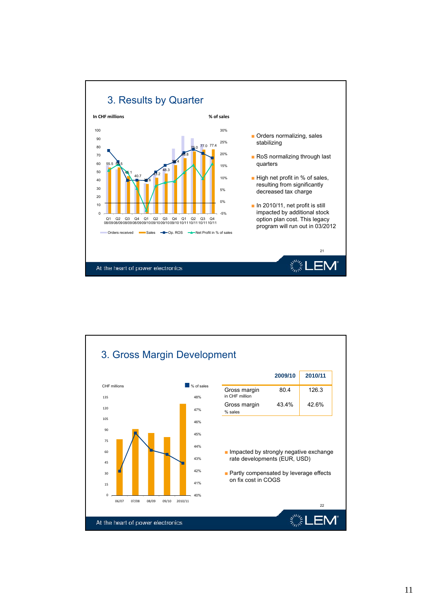

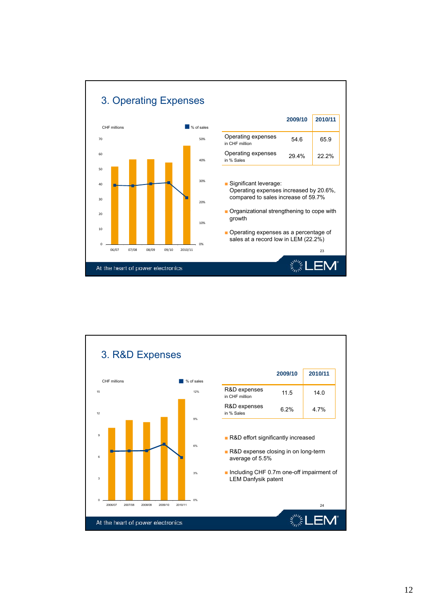

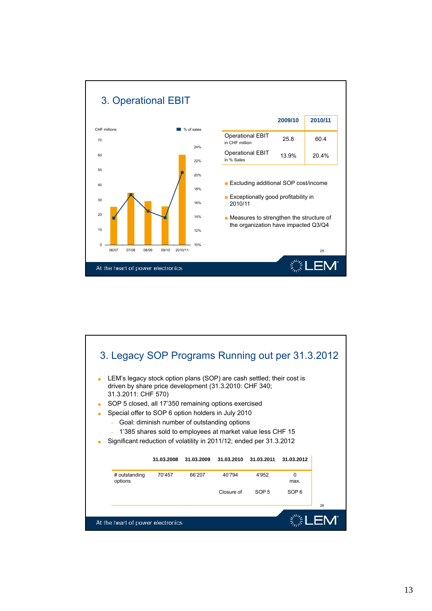

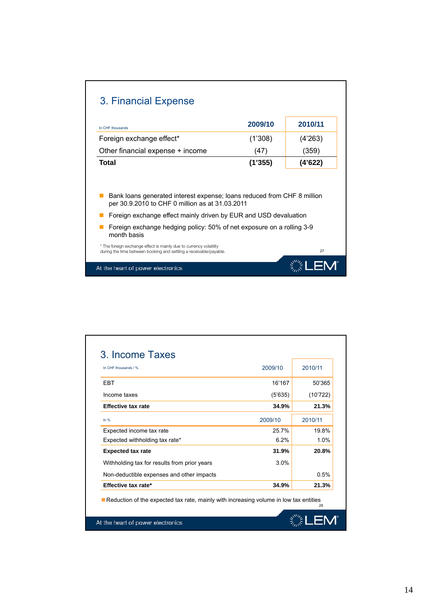| 2009/10                                                                 | 2010/11 |
|-------------------------------------------------------------------------|---------|
| (1'308)                                                                 | (4'263) |
| (47)                                                                    | (359)   |
| (1'355)                                                                 | (4'622) |
| Bank loans generated interest expense; loans reduced from CHF 8 million |         |
| per 30.9.2010 to CHF 0 million as at 31.03.2011                         |         |
| Foreign exchange effect mainly driven by EUR and USD devaluation        |         |
| Foreign exchange hedging policy: 50% of net exposure on a rolling 3-9   |         |
|                                                                         |         |

| In CHF thousands / %                                                                  | 2009/10 | 2010/11  |
|---------------------------------------------------------------------------------------|---------|----------|
| <b>FRT</b>                                                                            | 16'167  | 50'365   |
| Income taxes                                                                          | (5'635) | (10'722) |
| <b>Effective tax rate</b>                                                             | 34.9%   | 21.3%    |
| In $%$                                                                                | 2009/10 | 2010/11  |
| Expected income tax rate                                                              | 25.7%   | 19.8%    |
| Expected withholding tax rate*                                                        | 6.2%    | 1.0%     |
| <b>Expected tax rate</b>                                                              | 31.9%   | 20.8%    |
| Withholding tax for results from prior years                                          | 3.0%    |          |
| Non-deductible expenses and other impacts                                             |         | 0.5%     |
| Effective tax rate*                                                                   | 34.9%   | 21.3%    |
| Reduction of the expected tax rate, mainly with increasing volume in low tax entities |         | 28       |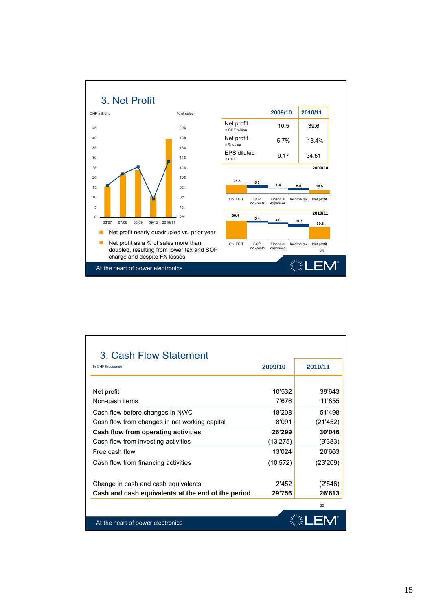

| 3. Cash Flow Statement                             |          |          |
|----------------------------------------------------|----------|----------|
| In CHF thousands                                   | 2009/10  | 2010/11  |
|                                                    |          |          |
| Net profit                                         | 10'532   | 39'643   |
| Non-cash items                                     | 7'676    | 11'855   |
| Cash flow before changes in NWC                    | 18'208   | 51'498   |
| Cash flow from changes in net working capital      | 8'091    | (21'452) |
| Cash flow from operating activities                | 26'299   | 30'046   |
| Cash flow from investing activities                | (13'275) | (9'383)  |
| Free cash flow                                     | 13'024   | 20'663   |
| Cash flow from financing activities                | (10'572) | (23'209) |
|                                                    |          |          |
| Change in cash and cash equivalents                | 2'452    | (2'546)  |
| Cash and cash equivalents at the end of the period | 29'756   | 26'613   |
|                                                    |          | 30       |
| At the heart of power electronics                  |          |          |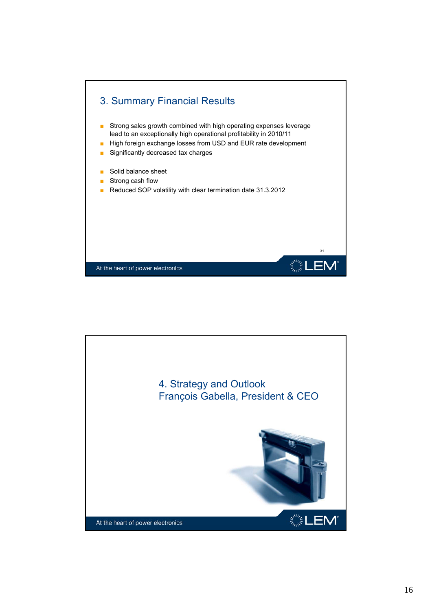

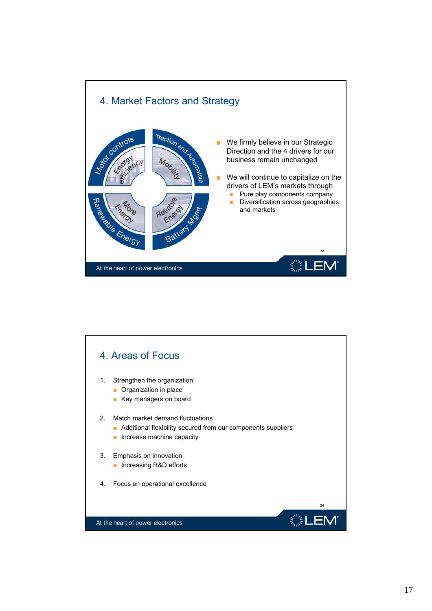

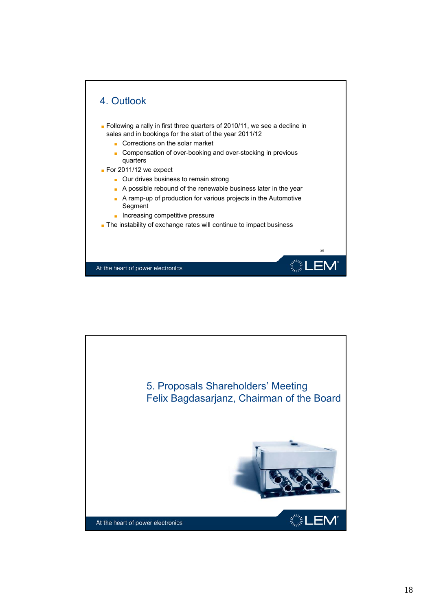

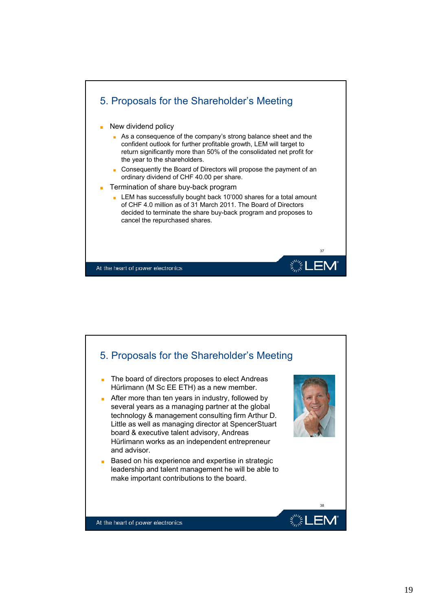